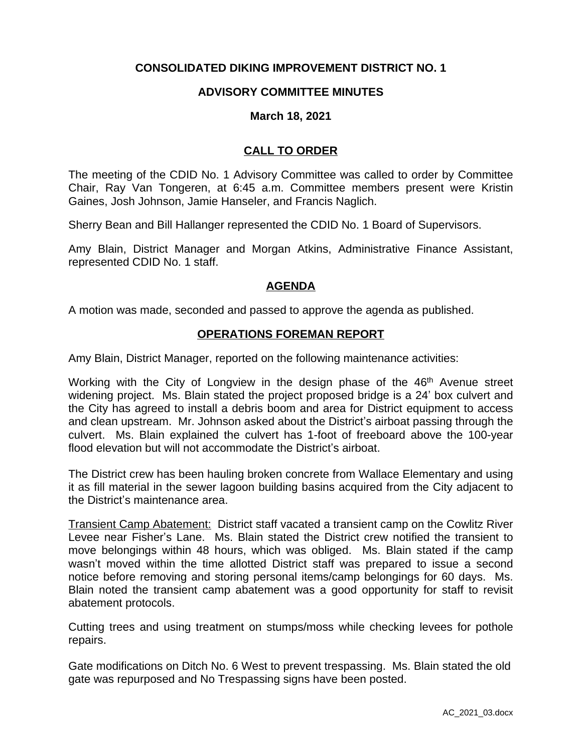# **CONSOLIDATED DIKING IMPROVEMENT DISTRICT NO. 1**

### **ADVISORY COMMITTEE MINUTES**

#### **March 18, 2021**

# **CALL TO ORDER**

The meeting of the CDID No. 1 Advisory Committee was called to order by Committee Chair, Ray Van Tongeren, at 6:45 a.m. Committee members present were Kristin Gaines, Josh Johnson, Jamie Hanseler, and Francis Naglich.

Sherry Bean and Bill Hallanger represented the CDID No. 1 Board of Supervisors.

Amy Blain, District Manager and Morgan Atkins, Administrative Finance Assistant, represented CDID No. 1 staff.

#### **AGENDA**

A motion was made, seconded and passed to approve the agenda as published.

#### **OPERATIONS FOREMAN REPORT**

Amy Blain, District Manager, reported on the following maintenance activities:

Working with the City of Longview in the design phase of the  $46<sup>th</sup>$  Avenue street widening project. Ms. Blain stated the project proposed bridge is a 24' box culvert and the City has agreed to install a debris boom and area for District equipment to access and clean upstream. Mr. Johnson asked about the District's airboat passing through the culvert. Ms. Blain explained the culvert has 1-foot of freeboard above the 100-year flood elevation but will not accommodate the District's airboat.

The District crew has been hauling broken concrete from Wallace Elementary and using it as fill material in the sewer lagoon building basins acquired from the City adjacent to the District's maintenance area.

Transient Camp Abatement: District staff vacated a transient camp on the Cowlitz River Levee near Fisher's Lane. Ms. Blain stated the District crew notified the transient to move belongings within 48 hours, which was obliged. Ms. Blain stated if the camp wasn't moved within the time allotted District staff was prepared to issue a second notice before removing and storing personal items/camp belongings for 60 days. Ms. Blain noted the transient camp abatement was a good opportunity for staff to revisit abatement protocols.

Cutting trees and using treatment on stumps/moss while checking levees for pothole repairs.

Gate modifications on Ditch No. 6 West to prevent trespassing. Ms. Blain stated the old gate was repurposed and No Trespassing signs have been posted.